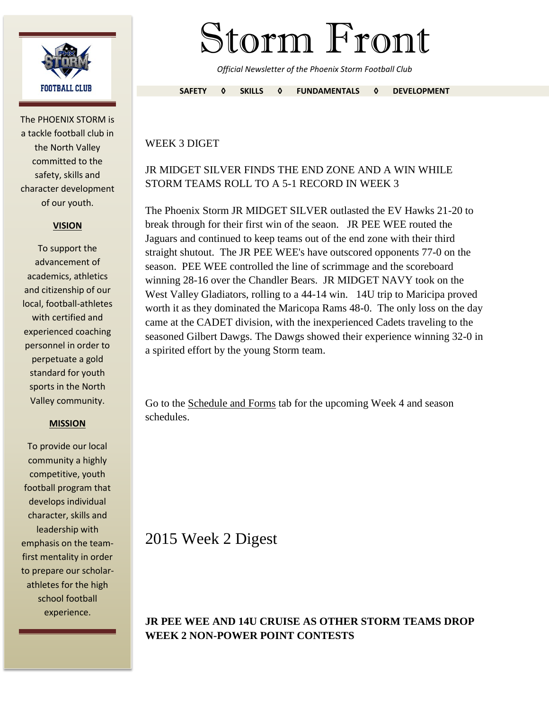

The PHOENIX STORM is a tackle football club in the North Valley committed to the safety, skills and character development of our youth.

#### **VISION**

To support the advancement of academics, athletics and citizenship of our local, football-athletes with certified and experienced coaching personnel in order to perpetuate a gold standard for youth sports in the North Valley community.

#### **MISSION**

To provide our local community a highly competitive, youth football program that develops individual character, skills and leadership with emphasis on the teamfirst mentality in order to prepare our scholarathletes for the high school football experience.

# Storm Front

*Official Newsletter of the Phoenix Storm Football Club*

**SAFETY ◊ SKILLS ◊ FUNDAMENTALS ◊ DEVELOPMENT**

#### WEEK 3 DIGET

## JR MIDGET SILVER FINDS THE END ZONE AND A WIN WHILE STORM TEAMS ROLL TO A 5-1 RECORD IN WEEK 3

The Phoenix Storm JR MIDGET SILVER outlasted the EV Hawks 21-20 to break through for their first win of the seaon. JR PEE WEE routed the Jaguars and continued to keep teams out of the end zone with their third straight shutout. The JR PEE WEE's have outscored opponents 77-0 on the season. PEE WEE controlled the line of scrimmage and the scoreboard winning 28-16 over the Chandler Bears. JR MIDGET NAVY took on the West Valley Gladiators, rolling to a 44-14 win. 14U trip to Maricipa proved worth it as they dominated the Maricopa Rams 48-0. The only loss on the day came at the CADET division, with the inexperienced Cadets traveling to the seasoned Gilbert Dawgs. The Dawgs showed their experience winning 32-0 in a spirited effort by the young Storm team.

Go to the Schedule and Forms tab for the upcoming Week 4 and season schedules.

# 2015 Week 2 Digest

### **JR PEE WEE AND 14U CRUISE AS OTHER STORM TEAMS DROP WEEK 2 NON-POWER POINT CONTESTS**